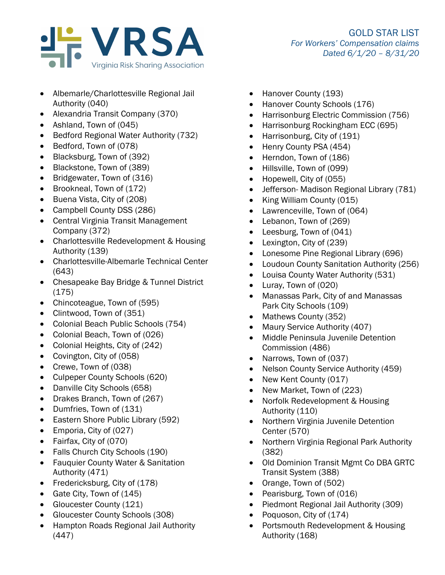

- Albemarle/Charlottesville Regional Jail Authority (040)
- Alexandria Transit Company (370)
- Ashland, Town of (045)
- Bedford Regional Water Authority (732)
- Bedford, Town of (078)
- Blacksburg, Town of (392)
- Blackstone, Town of (389)
- Bridgewater, Town of (316)
- Brookneal, Town of (172)
- Buena Vista, City of (208)
- Campbell County DSS (286)
- Central Virginia Transit Management Company (372)
- Charlottesville Redevelopment & Housing Authority (139)
- Charlottesville-Albemarle Technical Center (643)
- Chesapeake Bay Bridge & Tunnel District (175)
- Chincoteague, Town of (595)
- Clintwood, Town of (351)
- Colonial Beach Public Schools (754)
- Colonial Beach, Town of (026)
- Colonial Heights, City of (242)
- Covington, City of (058)
- Crewe, Town of (038)
- Culpeper County Schools (620)
- Danville City Schools (658)
- Drakes Branch, Town of (267)
- Dumfries, Town of (131)
- Eastern Shore Public Library (592)
- Emporia, City of (027)
- Fairfax, City of (070)
- Falls Church City Schools (190)
- Fauquier County Water & Sanitation Authority (471)
- Fredericksburg, City of (178)
- Gate City, Town of (145)
- Gloucester County (121)
- Gloucester County Schools (308)
- Hampton Roads Regional Jail Authority (447)
- Hanover County (193)
- Hanover County Schools (176)
- Harrisonburg Electric Commission (756)
- Harrisonburg Rockingham ECC (695)
- Harrisonburg, City of (191)
- Henry County PSA (454)
- Herndon, Town of (186)
- Hillsville, Town of (099)
- Hopewell, City of (055)
- Jefferson- Madison Regional Library (781)
- King William County (015)
- Lawrenceville, Town of (064)
- Lebanon, Town of (269)
- Leesburg, Town of (041)
- Lexington, City of (239)
- Lonesome Pine Regional Library (696)
- Loudoun County Sanitation Authority (256)
- Louisa County Water Authority (531)
- Luray, Town of (020)
- Manassas Park, City of and Manassas Park City Schools (109)
- Mathews County (352)
- Maury Service Authority (407)
- Middle Peninsula Juvenile Detention Commission (486)
- Narrows, Town of (037)
- Nelson County Service Authority (459)
- New Kent County (017)
- New Market, Town of (223)
- Norfolk Redevelopment & Housing Authority (110)
- Northern Virginia Juvenile Detention Center (570)
- Northern Virginia Regional Park Authority (382)
- Old Dominion Transit Mgmt Co DBA GRTC Transit System (388)
- Orange, Town of (502)
- Pearisburg, Town of (016)
- Piedmont Regional Jail Authority (309)
- Poquoson, City of (174)
- Portsmouth Redevelopment & Housing Authority (168)